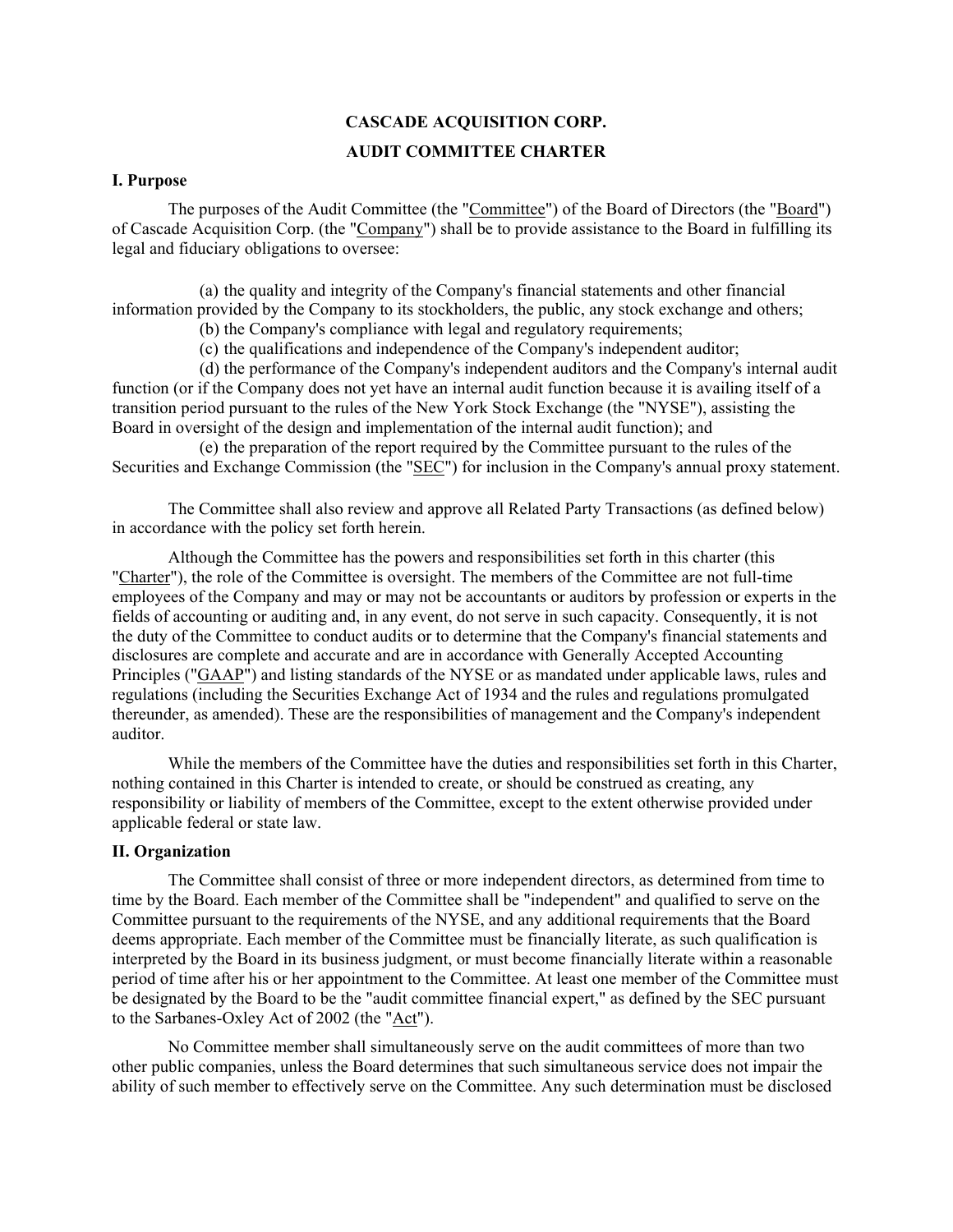# **CASCADE ACQUISITION CORP. AUDIT COMMITTEE CHARTER**

### **I. Purpose**

The purposes of the Audit Committee (the "Committee") of the Board of Directors (the "Board") of Cascade Acquisition Corp. (the "Company") shall be to provide assistance to the Board in fulfilling its legal and fiduciary obligations to oversee:

(a) the quality and integrity of the Company's financial statements and other financial information provided by the Company to its stockholders, the public, any stock exchange and others;

(b) the Company's compliance with legal and regulatory requirements;

(c) the qualifications and independence of the Company's independent auditor;

(d) the performance of the Company's independent auditors and the Company's internal audit function (or if the Company does not yet have an internal audit function because it is availing itself of a transition period pursuant to the rules of the New York Stock Exchange (the "NYSE"), assisting the Board in oversight of the design and implementation of the internal audit function); and

(e) the preparation of the report required by the Committee pursuant to the rules of the Securities and Exchange Commission (the "SEC") for inclusion in the Company's annual proxy statement.

The Committee shall also review and approve all Related Party Transactions (as defined below) in accordance with the policy set forth herein.

Although the Committee has the powers and responsibilities set forth in this charter (this "Charter"), the role of the Committee is oversight. The members of the Committee are not full-time employees of the Company and may or may not be accountants or auditors by profession or experts in the fields of accounting or auditing and, in any event, do not serve in such capacity. Consequently, it is not the duty of the Committee to conduct audits or to determine that the Company's financial statements and disclosures are complete and accurate and are in accordance with Generally Accepted Accounting Principles ("GAAP") and listing standards of the NYSE or as mandated under applicable laws, rules and regulations (including the Securities Exchange Act of 1934 and the rules and regulations promulgated thereunder, as amended). These are the responsibilities of management and the Company's independent auditor.

While the members of the Committee have the duties and responsibilities set forth in this Charter, nothing contained in this Charter is intended to create, or should be construed as creating, any responsibility or liability of members of the Committee, except to the extent otherwise provided under applicable federal or state law.

### **II. Organization**

The Committee shall consist of three or more independent directors, as determined from time to time by the Board. Each member of the Committee shall be "independent" and qualified to serve on the Committee pursuant to the requirements of the NYSE, and any additional requirements that the Board deems appropriate. Each member of the Committee must be financially literate, as such qualification is interpreted by the Board in its business judgment, or must become financially literate within a reasonable period of time after his or her appointment to the Committee. At least one member of the Committee must be designated by the Board to be the "audit committee financial expert," as defined by the SEC pursuant to the Sarbanes-Oxley Act of 2002 (the "Act").

No Committee member shall simultaneously serve on the audit committees of more than two other public companies, unless the Board determines that such simultaneous service does not impair the ability of such member to effectively serve on the Committee. Any such determination must be disclosed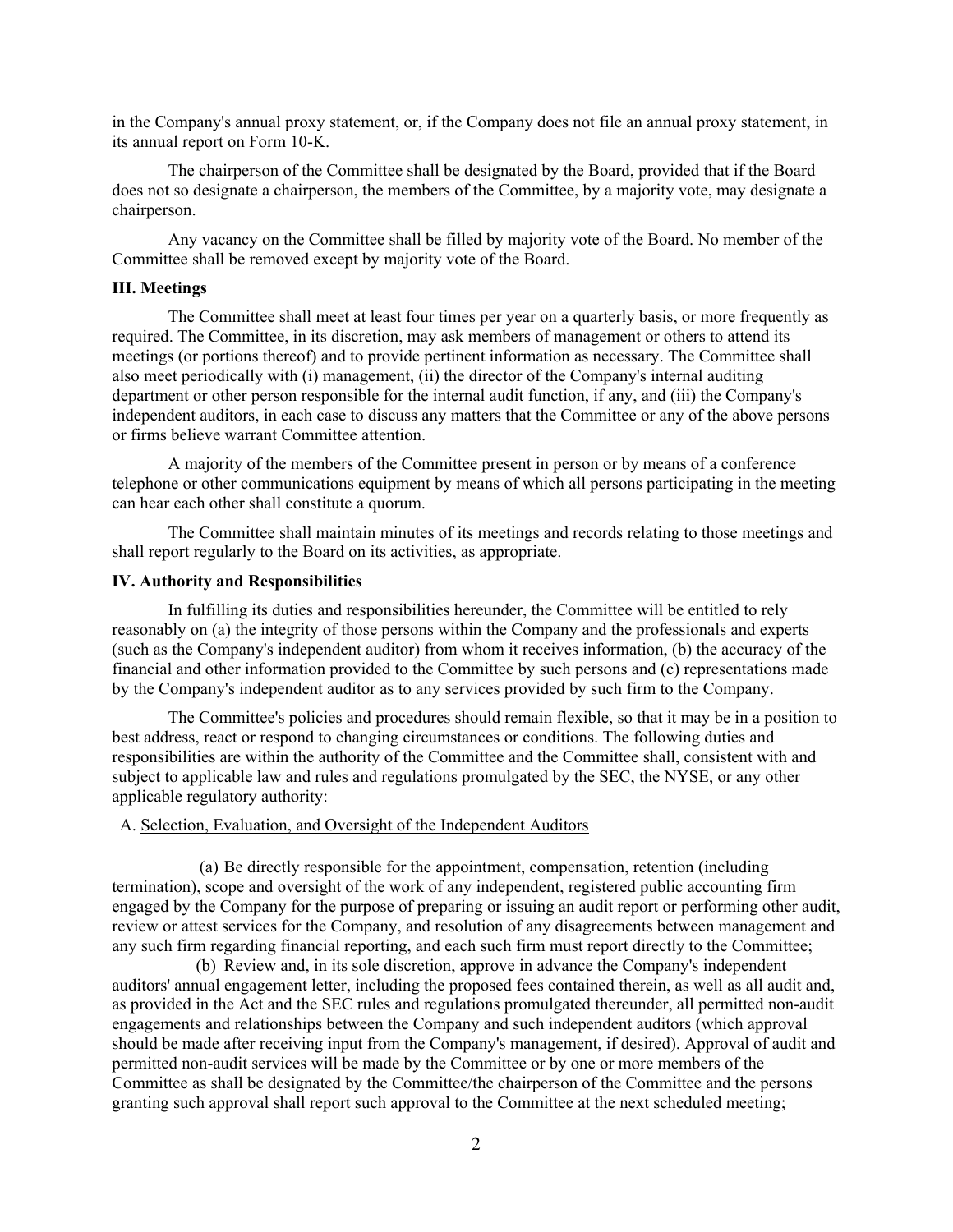in the Company's annual proxy statement, or, if the Company does not file an annual proxy statement, in its annual report on Form 10-K.

The chairperson of the Committee shall be designated by the Board, provided that if the Board does not so designate a chairperson, the members of the Committee, by a majority vote, may designate a chairperson.

Any vacancy on the Committee shall be filled by majority vote of the Board. No member of the Committee shall be removed except by majority vote of the Board.

#### **III. Meetings**

The Committee shall meet at least four times per year on a quarterly basis, or more frequently as required. The Committee, in its discretion, may ask members of management or others to attend its meetings (or portions thereof) and to provide pertinent information as necessary. The Committee shall also meet periodically with (i) management, (ii) the director of the Company's internal auditing department or other person responsible for the internal audit function, if any, and (iii) the Company's independent auditors, in each case to discuss any matters that the Committee or any of the above persons or firms believe warrant Committee attention.

A majority of the members of the Committee present in person or by means of a conference telephone or other communications equipment by means of which all persons participating in the meeting can hear each other shall constitute a quorum.

The Committee shall maintain minutes of its meetings and records relating to those meetings and shall report regularly to the Board on its activities, as appropriate.

### **IV. Authority and Responsibilities**

In fulfilling its duties and responsibilities hereunder, the Committee will be entitled to rely reasonably on (a) the integrity of those persons within the Company and the professionals and experts (such as the Company's independent auditor) from whom it receives information, (b) the accuracy of the financial and other information provided to the Committee by such persons and (c) representations made by the Company's independent auditor as to any services provided by such firm to the Company.

The Committee's policies and procedures should remain flexible, so that it may be in a position to best address, react or respond to changing circumstances or conditions. The following duties and responsibilities are within the authority of the Committee and the Committee shall, consistent with and subject to applicable law and rules and regulations promulgated by the SEC, the NYSE, or any other applicable regulatory authority:

#### A. Selection, Evaluation, and Oversight of the Independent Auditors

(a) Be directly responsible for the appointment, compensation, retention (including termination), scope and oversight of the work of any independent, registered public accounting firm engaged by the Company for the purpose of preparing or issuing an audit report or performing other audit, review or attest services for the Company, and resolution of any disagreements between management and any such firm regarding financial reporting, and each such firm must report directly to the Committee;

(b) Review and, in its sole discretion, approve in advance the Company's independent auditors' annual engagement letter, including the proposed fees contained therein, as well as all audit and, as provided in the Act and the SEC rules and regulations promulgated thereunder, all permitted non-audit engagements and relationships between the Company and such independent auditors (which approval should be made after receiving input from the Company's management, if desired). Approval of audit and permitted non-audit services will be made by the Committee or by one or more members of the Committee as shall be designated by the Committee/the chairperson of the Committee and the persons granting such approval shall report such approval to the Committee at the next scheduled meeting;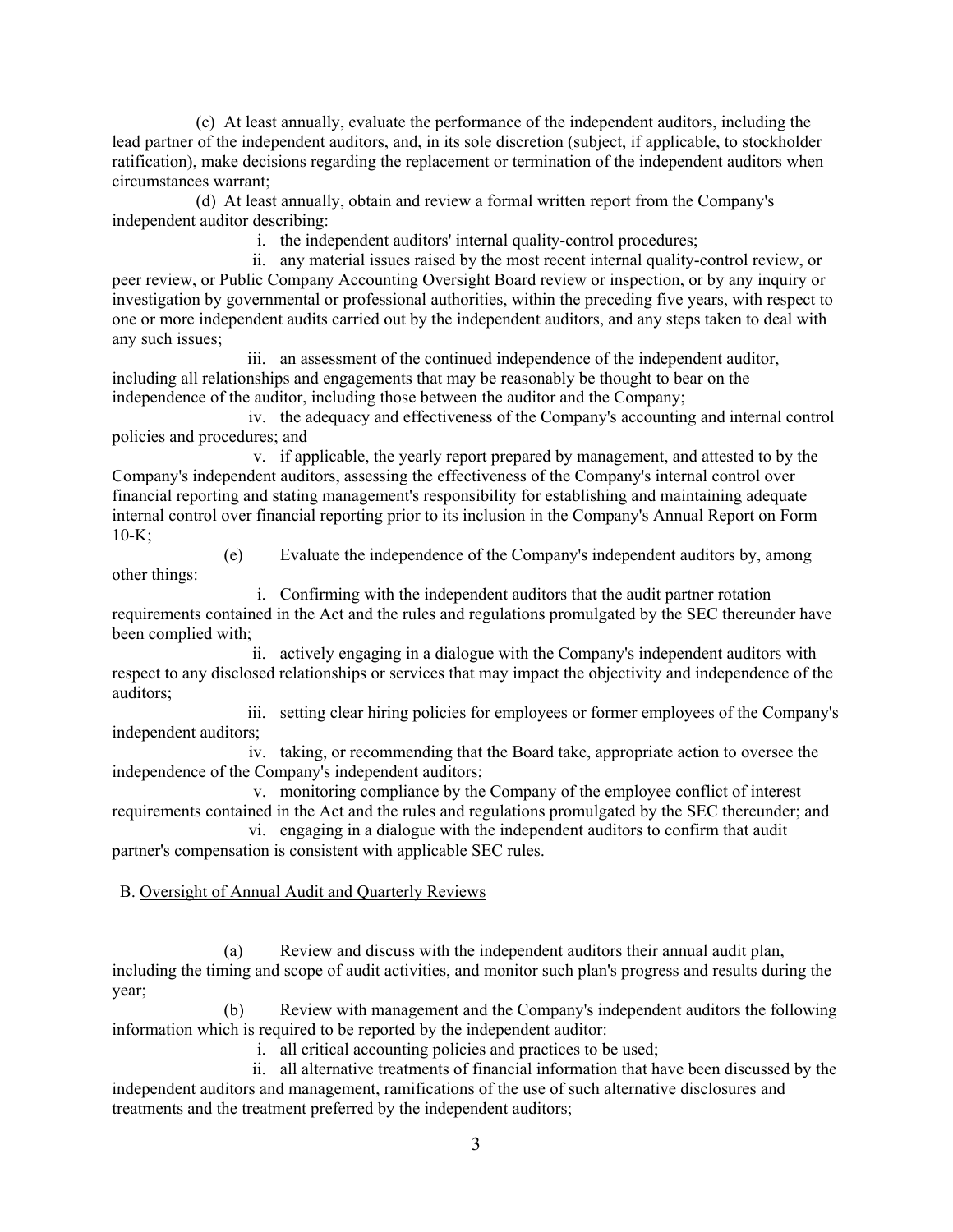(c) At least annually, evaluate the performance of the independent auditors, including the lead partner of the independent auditors, and, in its sole discretion (subject, if applicable, to stockholder ratification), make decisions regarding the replacement or termination of the independent auditors when circumstances warrant;

(d) At least annually, obtain and review a formal written report from the Company's independent auditor describing:

i. the independent auditors' internal quality-control procedures;

ii. any material issues raised by the most recent internal quality-control review, or peer review, or Public Company Accounting Oversight Board review or inspection, or by any inquiry or investigation by governmental or professional authorities, within the preceding five years, with respect to one or more independent audits carried out by the independent auditors, and any steps taken to deal with any such issues;

iii. an assessment of the continued independence of the independent auditor, including all relationships and engagements that may be reasonably be thought to bear on the independence of the auditor, including those between the auditor and the Company;

iv. the adequacy and effectiveness of the Company's accounting and internal control policies and procedures; and

v. if applicable, the yearly report prepared by management, and attested to by the Company's independent auditors, assessing the effectiveness of the Company's internal control over financial reporting and stating management's responsibility for establishing and maintaining adequate internal control over financial reporting prior to its inclusion in the Company's Annual Report on Form  $10-K;$ 

(e) Evaluate the independence of the Company's independent auditors by, among other things:

i. Confirming with the independent auditors that the audit partner rotation requirements contained in the Act and the rules and regulations promulgated by the SEC thereunder have been complied with;

ii. actively engaging in a dialogue with the Company's independent auditors with respect to any disclosed relationships or services that may impact the objectivity and independence of the auditors;

iii. setting clear hiring policies for employees or former employees of the Company's independent auditors;

iv. taking, or recommending that the Board take, appropriate action to oversee the independence of the Company's independent auditors;

v. monitoring compliance by the Company of the employee conflict of interest requirements contained in the Act and the rules and regulations promulgated by the SEC thereunder; and

vi. engaging in a dialogue with the independent auditors to confirm that audit partner's compensation is consistent with applicable SEC rules.

# B. Oversight of Annual Audit and Quarterly Reviews

(a) Review and discuss with the independent auditors their annual audit plan, including the timing and scope of audit activities, and monitor such plan's progress and results during the year;

(b) Review with management and the Company's independent auditors the following information which is required to be reported by the independent auditor:

i. all critical accounting policies and practices to be used;

ii. all alternative treatments of financial information that have been discussed by the independent auditors and management, ramifications of the use of such alternative disclosures and treatments and the treatment preferred by the independent auditors;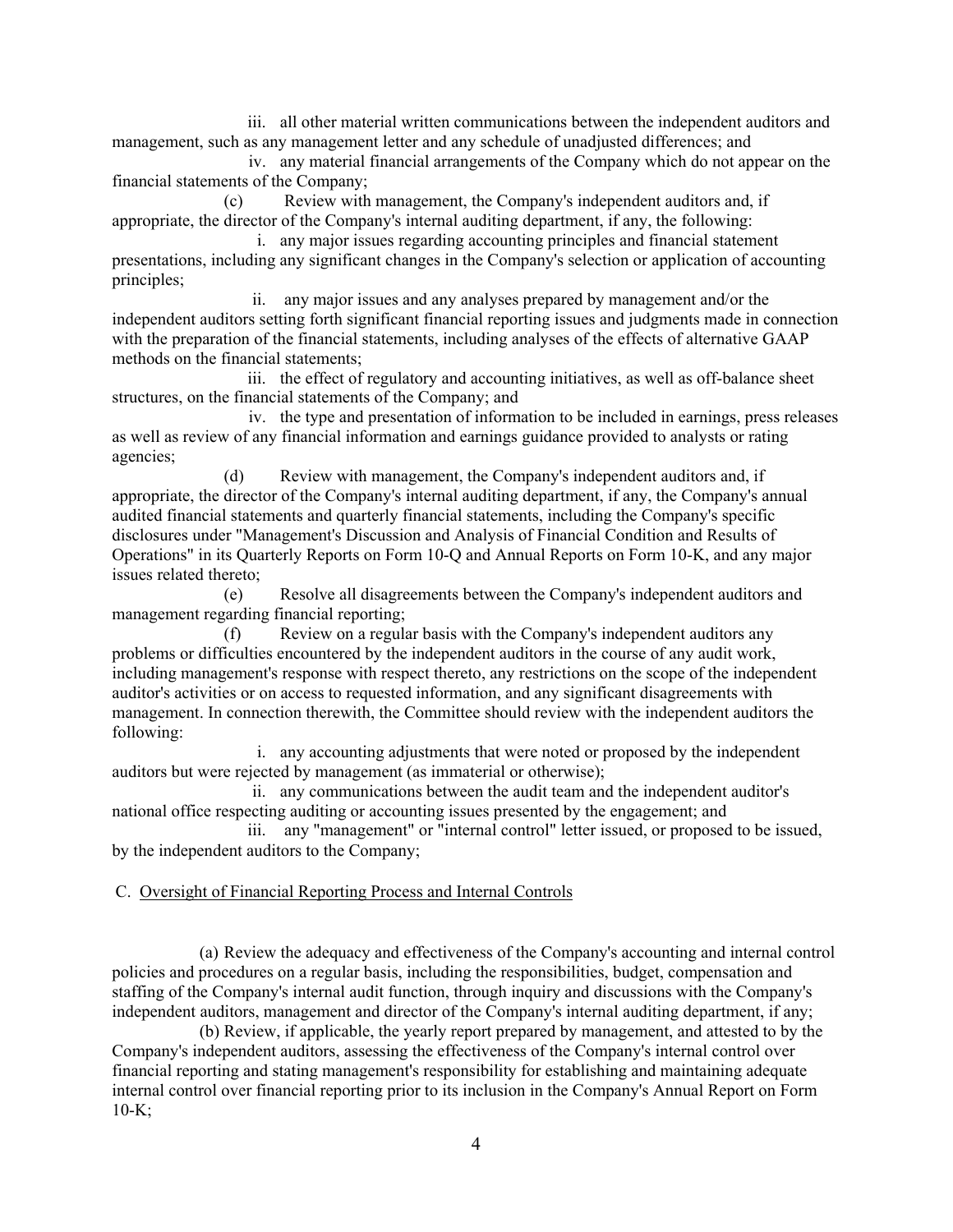iii. all other material written communications between the independent auditors and management, such as any management letter and any schedule of unadjusted differences; and

iv. any material financial arrangements of the Company which do not appear on the financial statements of the Company;

(c) Review with management, the Company's independent auditors and, if appropriate, the director of the Company's internal auditing department, if any, the following:

i. any major issues regarding accounting principles and financial statement presentations, including any significant changes in the Company's selection or application of accounting principles;

ii. any major issues and any analyses prepared by management and/or the independent auditors setting forth significant financial reporting issues and judgments made in connection with the preparation of the financial statements, including analyses of the effects of alternative GAAP methods on the financial statements;

iii. the effect of regulatory and accounting initiatives, as well as off-balance sheet structures, on the financial statements of the Company; and

iv. the type and presentation of information to be included in earnings, press releases as well as review of any financial information and earnings guidance provided to analysts or rating agencies;

(d) Review with management, the Company's independent auditors and, if appropriate, the director of the Company's internal auditing department, if any, the Company's annual audited financial statements and quarterly financial statements, including the Company's specific disclosures under "Management's Discussion and Analysis of Financial Condition and Results of Operations" in its Quarterly Reports on Form 10-Q and Annual Reports on Form 10-K, and any major issues related thereto;

(e) Resolve all disagreements between the Company's independent auditors and management regarding financial reporting;

(f) Review on a regular basis with the Company's independent auditors any problems or difficulties encountered by the independent auditors in the course of any audit work, including management's response with respect thereto, any restrictions on the scope of the independent auditor's activities or on access to requested information, and any significant disagreements with management. In connection therewith, the Committee should review with the independent auditors the following:

i. any accounting adjustments that were noted or proposed by the independent auditors but were rejected by management (as immaterial or otherwise);

ii. any communications between the audit team and the independent auditor's national office respecting auditing or accounting issues presented by the engagement; and

iii. any "management" or "internal control" letter issued, or proposed to be issued, by the independent auditors to the Company;

### C. Oversight of Financial Reporting Process and Internal Controls

(a) Review the adequacy and effectiveness of the Company's accounting and internal control policies and procedures on a regular basis, including the responsibilities, budget, compensation and staffing of the Company's internal audit function, through inquiry and discussions with the Company's independent auditors, management and director of the Company's internal auditing department, if any;

(b) Review, if applicable, the yearly report prepared by management, and attested to by the Company's independent auditors, assessing the effectiveness of the Company's internal control over financial reporting and stating management's responsibility for establishing and maintaining adequate internal control over financial reporting prior to its inclusion in the Company's Annual Report on Form  $10-K;$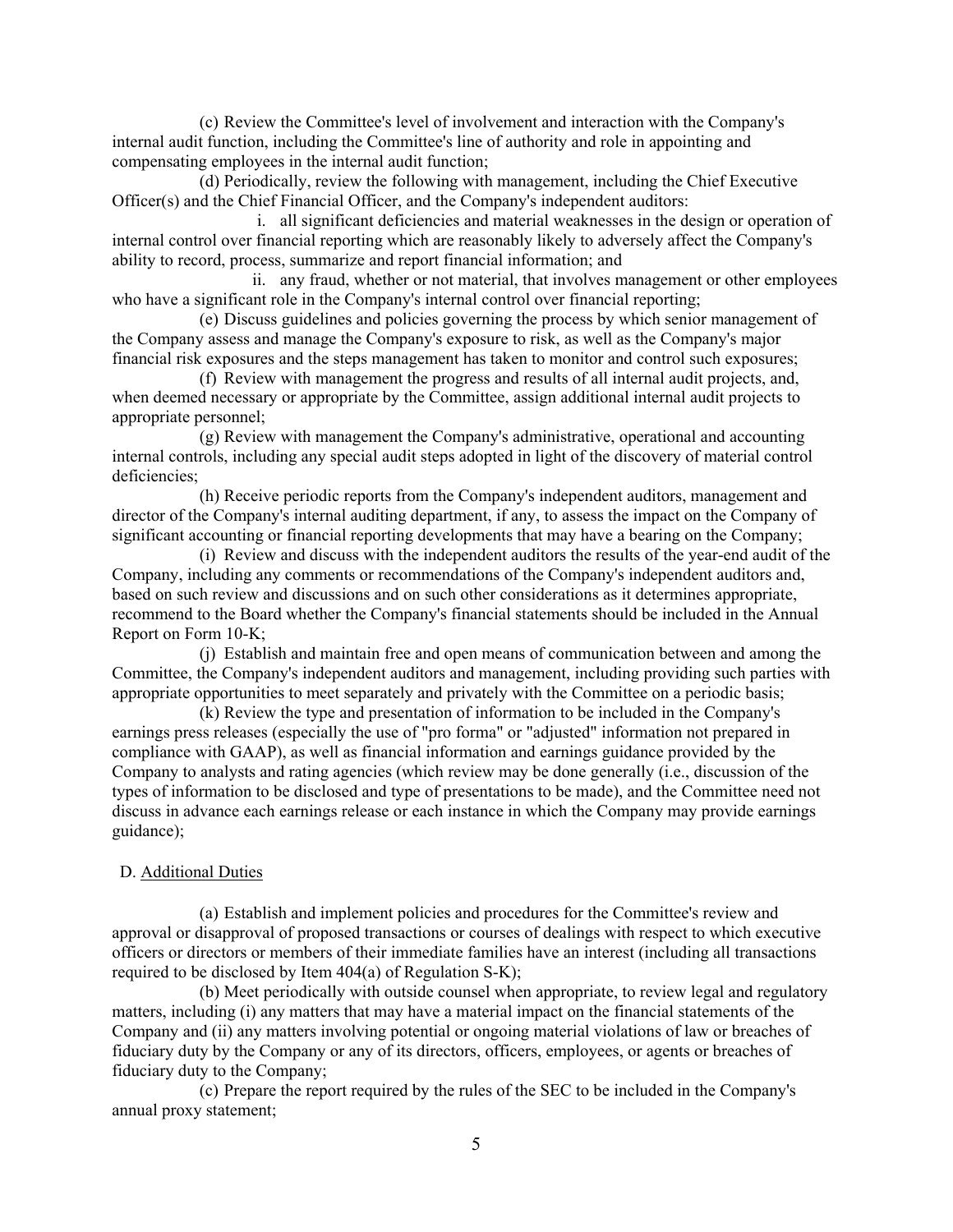(c) Review the Committee's level of involvement and interaction with the Company's internal audit function, including the Committee's line of authority and role in appointing and compensating employees in the internal audit function;

(d) Periodically, review the following with management, including the Chief Executive Officer(s) and the Chief Financial Officer, and the Company's independent auditors:

i. all significant deficiencies and material weaknesses in the design or operation of internal control over financial reporting which are reasonably likely to adversely affect the Company's ability to record, process, summarize and report financial information; and

ii. any fraud, whether or not material, that involves management or other employees who have a significant role in the Company's internal control over financial reporting;

(e) Discuss guidelines and policies governing the process by which senior management of the Company assess and manage the Company's exposure to risk, as well as the Company's major financial risk exposures and the steps management has taken to monitor and control such exposures;

(f) Review with management the progress and results of all internal audit projects, and, when deemed necessary or appropriate by the Committee, assign additional internal audit projects to appropriate personnel;

(g) Review with management the Company's administrative, operational and accounting internal controls, including any special audit steps adopted in light of the discovery of material control deficiencies;

(h) Receive periodic reports from the Company's independent auditors, management and director of the Company's internal auditing department, if any, to assess the impact on the Company of significant accounting or financial reporting developments that may have a bearing on the Company;

(i) Review and discuss with the independent auditors the results of the year-end audit of the Company, including any comments or recommendations of the Company's independent auditors and, based on such review and discussions and on such other considerations as it determines appropriate, recommend to the Board whether the Company's financial statements should be included in the Annual Report on Form 10-K;

(j) Establish and maintain free and open means of communication between and among the Committee, the Company's independent auditors and management, including providing such parties with appropriate opportunities to meet separately and privately with the Committee on a periodic basis;

(k) Review the type and presentation of information to be included in the Company's earnings press releases (especially the use of "pro forma" or "adjusted" information not prepared in compliance with GAAP), as well as financial information and earnings guidance provided by the Company to analysts and rating agencies (which review may be done generally (i.e., discussion of the types of information to be disclosed and type of presentations to be made), and the Committee need not discuss in advance each earnings release or each instance in which the Company may provide earnings guidance);

### D. Additional Duties

(a) Establish and implement policies and procedures for the Committee's review and approval or disapproval of proposed transactions or courses of dealings with respect to which executive officers or directors or members of their immediate families have an interest (including all transactions required to be disclosed by Item 404(a) of Regulation S-K);

(b) Meet periodically with outside counsel when appropriate, to review legal and regulatory matters, including (i) any matters that may have a material impact on the financial statements of the Company and (ii) any matters involving potential or ongoing material violations of law or breaches of fiduciary duty by the Company or any of its directors, officers, employees, or agents or breaches of fiduciary duty to the Company;

(c) Prepare the report required by the rules of the SEC to be included in the Company's annual proxy statement;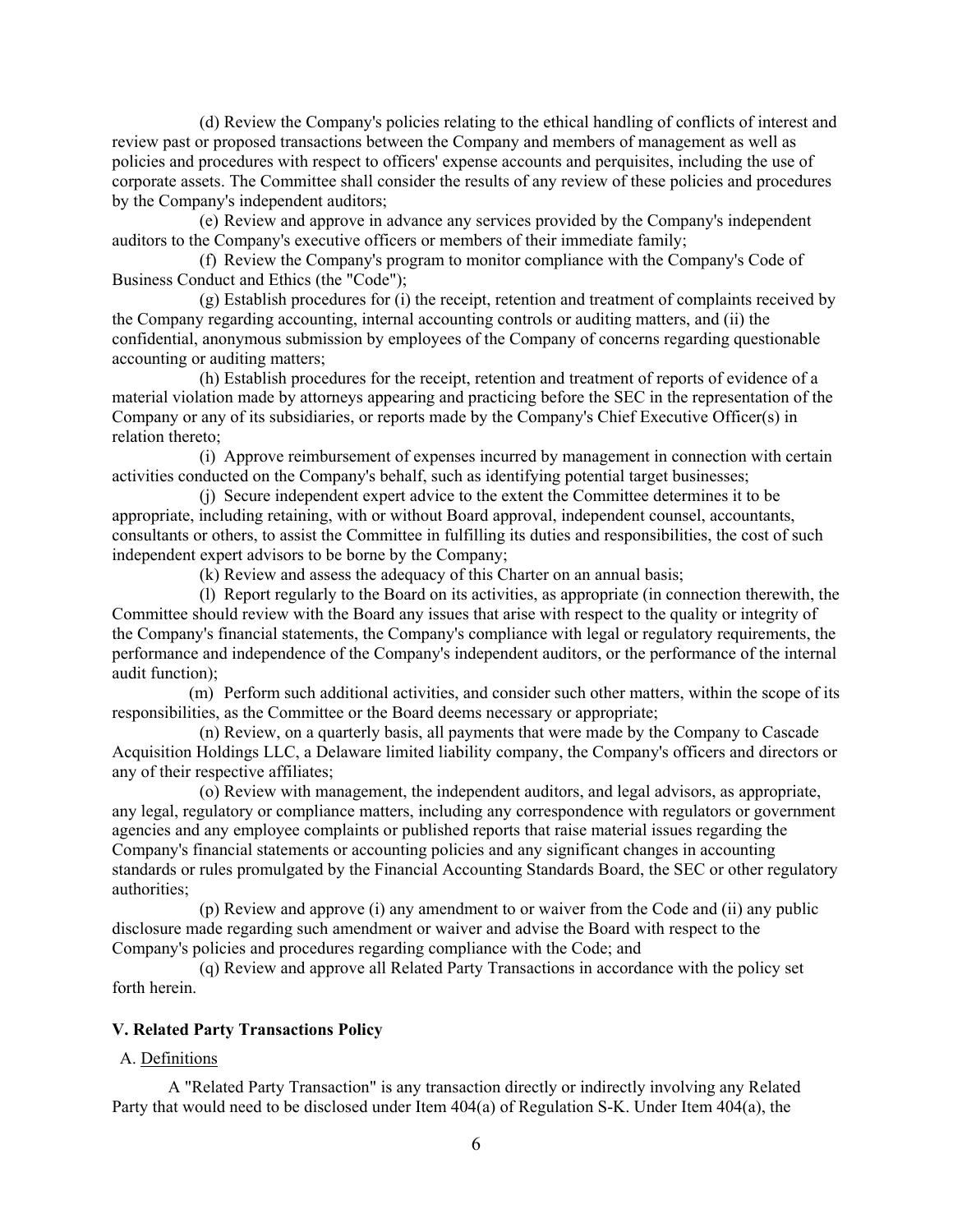(d) Review the Company's policies relating to the ethical handling of conflicts of interest and review past or proposed transactions between the Company and members of management as well as policies and procedures with respect to officers' expense accounts and perquisites, including the use of corporate assets. The Committee shall consider the results of any review of these policies and procedures by the Company's independent auditors;

(e) Review and approve in advance any services provided by the Company's independent auditors to the Company's executive officers or members of their immediate family;

(f) Review the Company's program to monitor compliance with the Company's Code of Business Conduct and Ethics (the "Code");

(g) Establish procedures for (i) the receipt, retention and treatment of complaints received by the Company regarding accounting, internal accounting controls or auditing matters, and (ii) the confidential, anonymous submission by employees of the Company of concerns regarding questionable accounting or auditing matters;

(h) Establish procedures for the receipt, retention and treatment of reports of evidence of a material violation made by attorneys appearing and practicing before the SEC in the representation of the Company or any of its subsidiaries, or reports made by the Company's Chief Executive Officer(s) in relation thereto;

(i) Approve reimbursement of expenses incurred by management in connection with certain activities conducted on the Company's behalf, such as identifying potential target businesses;

(j) Secure independent expert advice to the extent the Committee determines it to be appropriate, including retaining, with or without Board approval, independent counsel, accountants, consultants or others, to assist the Committee in fulfilling its duties and responsibilities, the cost of such independent expert advisors to be borne by the Company;

(k) Review and assess the adequacy of this Charter on an annual basis;

(l) Report regularly to the Board on its activities, as appropriate (in connection therewith, the Committee should review with the Board any issues that arise with respect to the quality or integrity of the Company's financial statements, the Company's compliance with legal or regulatory requirements, the performance and independence of the Company's independent auditors, or the performance of the internal audit function);

(m) Perform such additional activities, and consider such other matters, within the scope of its responsibilities, as the Committee or the Board deems necessary or appropriate;

(n) Review, on a quarterly basis, all payments that were made by the Company to Cascade Acquisition Holdings LLC, a Delaware limited liability company, the Company's officers and directors or any of their respective affiliates;

(o) Review with management, the independent auditors, and legal advisors, as appropriate, any legal, regulatory or compliance matters, including any correspondence with regulators or government agencies and any employee complaints or published reports that raise material issues regarding the Company's financial statements or accounting policies and any significant changes in accounting standards or rules promulgated by the Financial Accounting Standards Board, the SEC or other regulatory authorities;

(p) Review and approve (i) any amendment to or waiver from the Code and (ii) any public disclosure made regarding such amendment or waiver and advise the Board with respect to the Company's policies and procedures regarding compliance with the Code; and

(q) Review and approve all Related Party Transactions in accordance with the policy set forth herein.

### **V. Related Party Transactions Policy**

#### A. Definitions

A "Related Party Transaction" is any transaction directly or indirectly involving any Related Party that would need to be disclosed under Item 404(a) of Regulation S-K. Under Item 404(a), the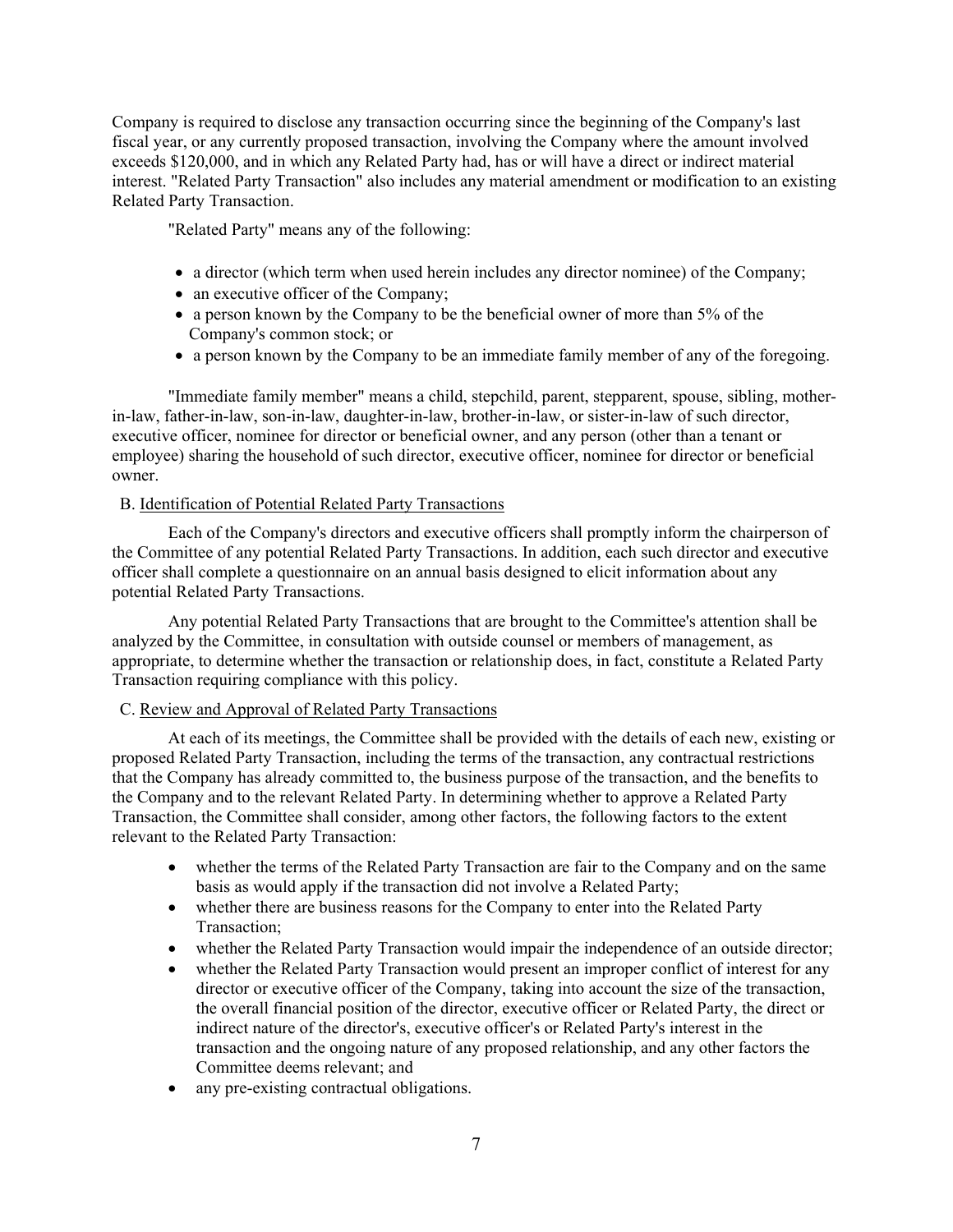Company is required to disclose any transaction occurring since the beginning of the Company's last fiscal year, or any currently proposed transaction, involving the Company where the amount involved exceeds \$120,000, and in which any Related Party had, has or will have a direct or indirect material interest. "Related Party Transaction" also includes any material amendment or modification to an existing Related Party Transaction.

"Related Party" means any of the following:

- a director (which term when used herein includes any director nominee) of the Company;
- an executive officer of the Company;
- a person known by the Company to be the beneficial owner of more than 5% of the Company's common stock; or
- a person known by the Company to be an immediate family member of any of the foregoing.

"Immediate family member" means a child, stepchild, parent, stepparent, spouse, sibling, motherin-law, father-in-law, son-in-law, daughter-in-law, brother-in-law, or sister-in-law of such director, executive officer, nominee for director or beneficial owner, and any person (other than a tenant or employee) sharing the household of such director, executive officer, nominee for director or beneficial owner.

# B. Identification of Potential Related Party Transactions

Each of the Company's directors and executive officers shall promptly inform the chairperson of the Committee of any potential Related Party Transactions. In addition, each such director and executive officer shall complete a questionnaire on an annual basis designed to elicit information about any potential Related Party Transactions.

Any potential Related Party Transactions that are brought to the Committee's attention shall be analyzed by the Committee, in consultation with outside counsel or members of management, as appropriate, to determine whether the transaction or relationship does, in fact, constitute a Related Party Transaction requiring compliance with this policy.

# C. Review and Approval of Related Party Transactions

At each of its meetings, the Committee shall be provided with the details of each new, existing or proposed Related Party Transaction, including the terms of the transaction, any contractual restrictions that the Company has already committed to, the business purpose of the transaction, and the benefits to the Company and to the relevant Related Party. In determining whether to approve a Related Party Transaction, the Committee shall consider, among other factors, the following factors to the extent relevant to the Related Party Transaction:

- whether the terms of the Related Party Transaction are fair to the Company and on the same basis as would apply if the transaction did not involve a Related Party;
- whether there are business reasons for the Company to enter into the Related Party Transaction;
- whether the Related Party Transaction would impair the independence of an outside director;
- whether the Related Party Transaction would present an improper conflict of interest for any director or executive officer of the Company, taking into account the size of the transaction, the overall financial position of the director, executive officer or Related Party, the direct or indirect nature of the director's, executive officer's or Related Party's interest in the transaction and the ongoing nature of any proposed relationship, and any other factors the Committee deems relevant; and
- any pre-existing contractual obligations.